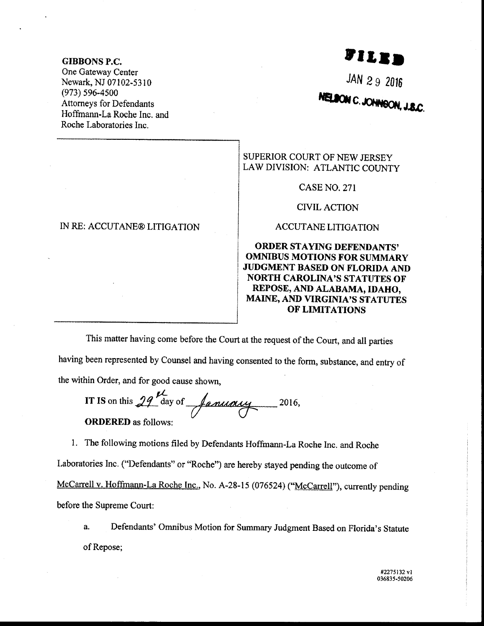#### GIBBONS P.C.

One Gateway Center Newark, NJ 07102-5310 (e73) 596-4s00 Attorneys for Defendants Hoffrnann-La Roche Inc. and Roche Laboratories Inc.

# **FILED**

## NELSON C. JOHNSON, J.S.C.

SUPERIOR COURT OF NEW JERSEY LAW DIVISION: ATLANTIC COUNTY

CASE NO. 27I

CIVIL ACTION

ACCUTANE LITIGATION

### ORDER STAYING DEFENDANTS' OMMBUS MOTIONS TOR SUMMARY JUDGMENT BASED ON FLORIDA AND NORTH CAROLINA'S STATUTES OF REPOSE, AND ALABAMA, IDAHO, MAINE, AND VIRGINIA'S STATUTES OF LIMITATIONS

This matter having come before the Court at the request of the Court, and all parties having been represented by Counsel and having consented to the form, substance, and entry of the within Order, and for good cause shown,

IT IS on this  $29^{12}$  day of January  $2016,$ ORDERED as follows:

L The following motions filed by Defendants Hoffrnann-La Roehe Inc. and Roche Laboratories Inc. ("Defendants" or "Roche") are hereby stayed pending the outcome of McCarrell v. Hoffmann-La Roche Inc., No. A-28-15 (076524) ("McCarrell"), currently pending before the Supreme Court:

a. Defendants' Omnibus Motion for Summary Judgment Based on Florida's Statute of Repose;

### IN RE: ACCUTANE® LITIGATION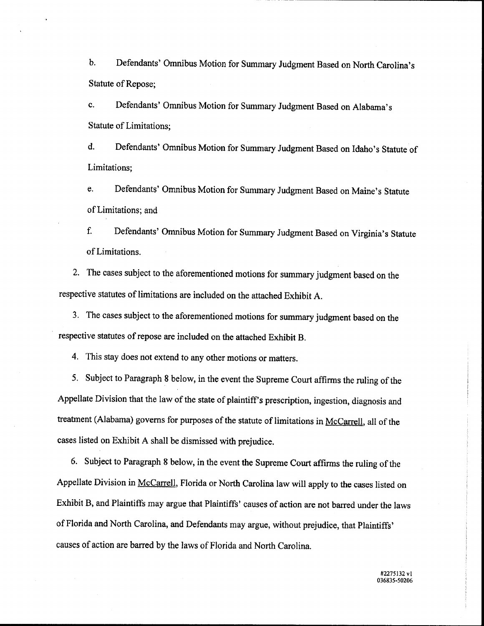b. Defendants' Omnibus Motion for Summary Judgment Based on North Carolina's Statute of Repose;

c. Defendants' Omnibus Motion for Summary Judgment Based on Alabama's Statute of Limitations;

d. Defendants' Omnibus Motion for Summary Judgment Based on Idaho's Statute of Limitations;

e. Defendants' Omnibus Motion for Summary Judgment Based on Maine's Statute of Limitations; and

f. Defendants' Ornnibus Motion for Summary Judgment Based on Virginia's Statute of Limitations.

2. The cases subject to the aforementioned motions for summary judgment based on the respective statutes of limitations are included on the attached Exhibit A.

3. The cases subject to the aforementioned motions for summary judgment based on the respective statutes of repose are included on the attached Exhibit B.

4. This stay does not extend to any other motions or matters.

5. Subject to Paragraph 8 below, in the event the Supreme Court affirms the ruling of the Appellate Division that the law of the state of plaintiff's prescription, ingestion, diagnosis and treatment (Alabama) governs for purposes of the statute of limitations in McCarrell, all of the cases listed on Exhibit A shall be dismissed with prejudice.

6. Subject to Paragraph 8 below, in the event the Supreme Court affirms the ruling of the Appellate Division in McCarrell, Florida or North Carolina law will apply to the cases listed on Exhibit B, and Plaintiffs may argue that Plaintiffs' causes of action are not barred under the laws of Florida and North Carolina, and Defendants may argue, without prejudice, that Plaintiffs' causes of action are barred by the laws of Florida and North Carolina.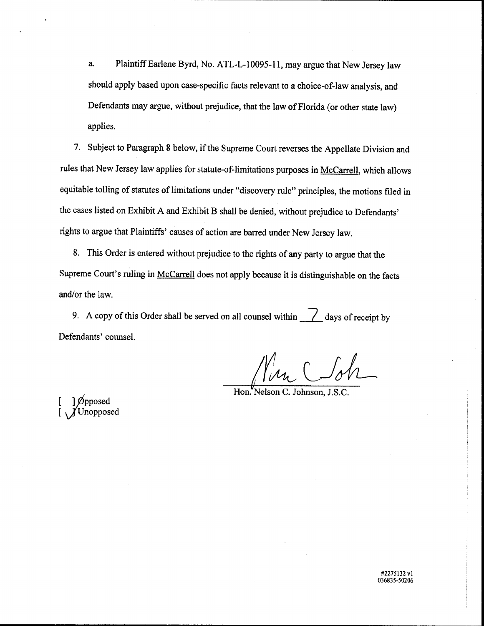a. Plaintiff Earlene Byrd, No. ATL-L-10095-11, may argue that New Jersey law should apply based upon case-specific facts relevant to a choice-of-law analysis, and Defendants may argue, without prejudice, that the law of Florida (or other state law) applies.

7. Subject to Paragraph 8 below, if the Supreme Court reverses the Appellate Division and rules that New Jersey law applies for statute-of-limitations purposes in McCarrell, which allows equitable tolling of statutes of limitations under "discovery rule" principles, the motions filed in the cases listed on Exhibit A and Exhibit B shall be denied, without prejudice to Defendants' rights to argue that Plaintiffs' causes of action are barred under New Jersey law.

8. This Order is entered without prejudice to the rights of any party to argue that the Supreme Court's ruling in McCarrell does not apply because it is distinguishable on the facts and/or the law.

9. A copy of this Order shall be served on all counsel within  $\frac{\ }{\ }$  days of receipt by Defendants' counsel.

Min Cloh

C. Johnson, J.S.C.

 $\begin{bmatrix} 1 & \text{0} \\ \text{0} & \text{0} \end{bmatrix}$  $\int$ Unopposed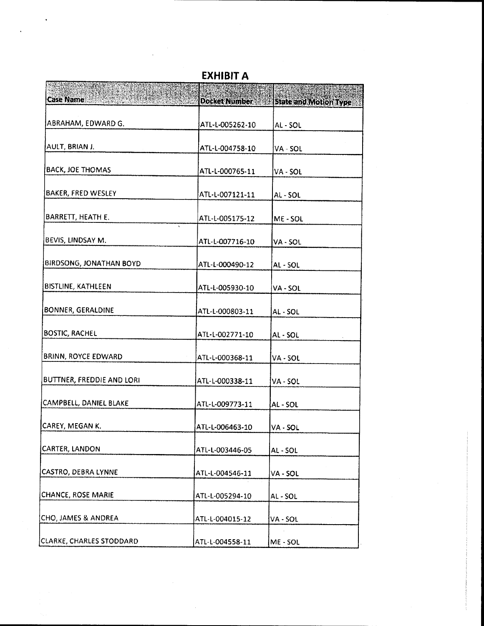| ana ang kal                      |                                                |                              |
|----------------------------------|------------------------------------------------|------------------------------|
| <b>Case Name</b>                 | <b>Docket Number</b>                           | <b>State and Motion Type</b> |
| ABRAHAM, EDWARD G.               | ATL-L-005262-10                                | AL-SOL                       |
| AULT, BRIAN J.                   | ATL-L-004758-10                                | VA - SOL                     |
| <b>BACK, JOE THOMAS</b>          | ATL-L-000765-11                                | VA - SOL                     |
| BAKER, FRED WESLEY               | ATL-L-007121-11                                | <b>AL-SOL</b>                |
| BARRETT, HEATH E.                | ATL-L-005175-12<br>$\mathcal{L}_{\mathcal{A}}$ | ME-SOL                       |
| BEVIS, LINDSAY M.                | ATL-L-007716-10                                | VA - SOL                     |
| <b>BIRDSONG, JONATHAN BOYD</b>   | ATL-L-000490-12                                | AL - SOL                     |
| <b>BISTLINE, KATHLEEN</b>        | ATL-L-005930-10                                | VA - SOL                     |
| BONNER, GERALDINE                | ATL-L-000803-11                                | AL-SOL                       |
| <b>BOSTIC, RACHEL</b>            | ATL-L-002771-10                                | AL - SOL                     |
| BRINN, ROYCE EDWARD              | ATL-L-000368-11                                | VA - SOL                     |
| <b>BUTTNER, FREDDIE AND LORI</b> | ATL-L-000338-11                                | VA - SOL                     |
| CAMPBELL, DANIEL BLAKE           | ATL-L-009773-11                                | AL - SOL                     |
| CAREY, MEGAN K.                  | ATL-L-006463-10                                | VA - SOL                     |
| CARTER, LANDON                   | ATL-L-003446-05                                | AL-SOL                       |
| CASTRO, DEBRA LYNNE              | ATL-L-004546-11                                | VA - SOL                     |
| CHANCE, ROSE MARIE               | ATL-L-005294-10                                | AL - SOL                     |
| CHO, JAMES & ANDREA              | ATL-L-004015-12                                | VA - SOL                     |
| CLARKE, CHARLES STODDARD         | ATL-L-004558-11                                | ME - SOL                     |

**EXHIBIT A**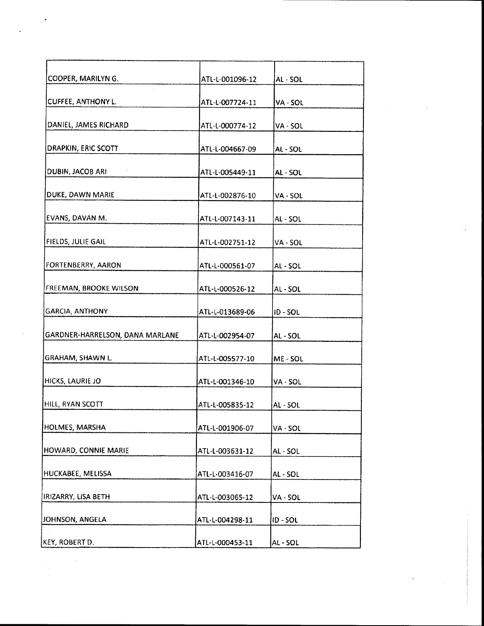| COOPER, MARILYN G.              | ATL-L-001096-12 | AL - SOL |
|---------------------------------|-----------------|----------|
| <b>CUFFEE, ANTHONY L.</b>       | ATL-L-007724-11 | VA - SOL |
| DANIEL, JAMES RICHARD           | ATL-L-000774-12 | VA - SOL |
| DRAPKIN, ERIC SCOTT             | ATL-L-004667-09 | AL - SOL |
| DUBIN, JACOB ARI                | ATL-L-005449-11 | AL - SOL |
| DUKE, DAWN MARIE                | ATL-L-002876-10 | VA - SOL |
| EVANS, DAVAN M.                 | ATL-L-007143-11 | AL - SOL |
| FIELDS, JULIE GAIL              | ATL-L-002751-12 | VA - SOL |
| FORTENBERRY, AARON              | ATL-L-000561-07 | AL - SOL |
| FREEMAN, BROOKE WILSON          | ATL-L-000526-12 | AL - SOL |
| <b>GARCIA, ANTHONY</b>          | ATL-L-013689-06 | ID-SOL   |
| GARDNER-HARRELSON, DANA MARLANE | ATL-L-002954-07 | AL - SOL |
| <b>GRAHAM, SHAWN L.</b>         | ATL-L-005577-10 | ME - SOL |
| HICKS, LAURIE JO                | ATL-L-001346-10 | VA - SOL |
| HILL, RYAN SCOTT                | ATL-L-005835-12 | AL - SOL |
| HOLMES, MARSHA                  | ATL-L-001906-07 | VA - SOL |
| HOWARD, CONNIE MARIE            | ATL-L-003631-12 | AL-SOL   |
| HUCKABEE, MELISSA               | ATL-L-003416-07 | AL - SOL |
| IRIZARRY, LISA BETH             | ATL-L-003065-12 | VA - SOL |
| JOHNSON, ANGELA                 | ATL-L-004298-11 | ID-SOL   |
| KEY, ROBERT D.                  | ATL-L-000453-11 | AL-SOL   |

 $\label{eq:2.1} \frac{1}{\sqrt{2}}\sum_{i=1}^n\frac{1}{\sqrt{2}}\sum_{i=1}^n\frac{1}{\sqrt{2}}\sum_{i=1}^n\frac{1}{\sqrt{2}}\sum_{i=1}^n\frac{1}{\sqrt{2}}\sum_{i=1}^n\frac{1}{\sqrt{2}}\sum_{i=1}^n\frac{1}{\sqrt{2}}\sum_{i=1}^n\frac{1}{\sqrt{2}}\sum_{i=1}^n\frac{1}{\sqrt{2}}\sum_{i=1}^n\frac{1}{\sqrt{2}}\sum_{i=1}^n\frac{1}{\sqrt{2}}\sum_{i=1}^n\frac$ 

 $\bar{\star}$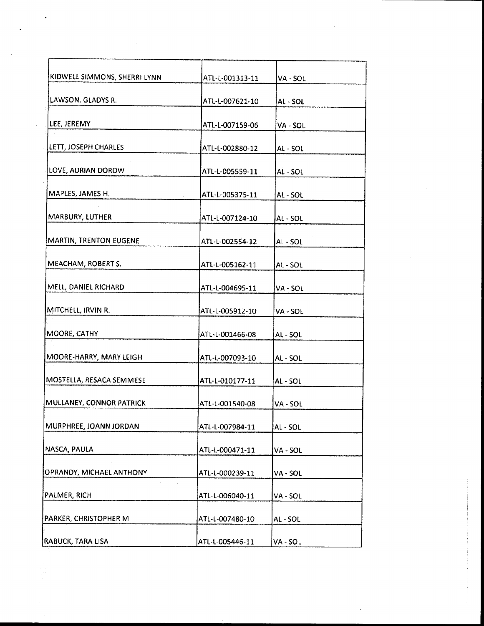| KIDWELL SIMMONS, SHERRI LYNN | ATL-L-001313-11 | VA - SOL      |
|------------------------------|-----------------|---------------|
| LAWSON, GLADYS R.            | ATL-L-007621-10 | AL - SOL      |
| LEE, JEREMY                  | ATL-L-007159-06 | VA - SOL      |
| LETT, JOSEPH CHARLES         | ATL-L-002880-12 | AL - SOL      |
| LOVE, ADRIAN DOROW           | ATL-L-005559-11 | AL-SOL        |
| MAPLES, JAMES H.             | ATL-L-005375-11 | AL - SOL      |
| MARBURY, LUTHER              | ATL-L-007124-10 | AL - SOL      |
| MARTIN, TRENTON EUGENE       | ATL-L-002554-12 | AL - SOL      |
| MEACHAM, ROBERT S.           |                 |               |
|                              | ATL-L-005162-11 | AL - SOL      |
| MELL, DANIEL RICHARD         | ATL-L-004695-11 | VA - SOL      |
| MITCHELL, IRVIN R.           | ATL-L-005912-10 | VA - SOL      |
| MOORE, CATHY                 | ATL-L-001466-08 | AL - SOL      |
| MOORE-HARRY, MARY LEIGH      | ATL-L-007093-10 | AL - SOL      |
| MOSTELLA, RESACA SEMMESE     | ATL-L-010177-11 | <b>AL-SOL</b> |
| MULLANEY, CONNOR PATRICK     | ATL-L-001540-08 | VA - SOL      |
| MURPHREE, JOANN JORDAN       | ATL-L-007984-11 | AL-SOL        |
| NASCA, PAULA                 | ATL-L-000471-11 | VA - SOL      |
| OPRANDY, MICHAEL ANTHONY     | ATL-L-000239-11 | VA - SOL      |
| PALMER, RICH                 | ATL-L-006040-11 | VA - SOL      |
| PARKER, CHRISTOPHER M        | ATL-L-007480-10 | AL - SOL      |
| RABUCK, TARA LISA            | ATL-L-005446-11 | VA - SOL      |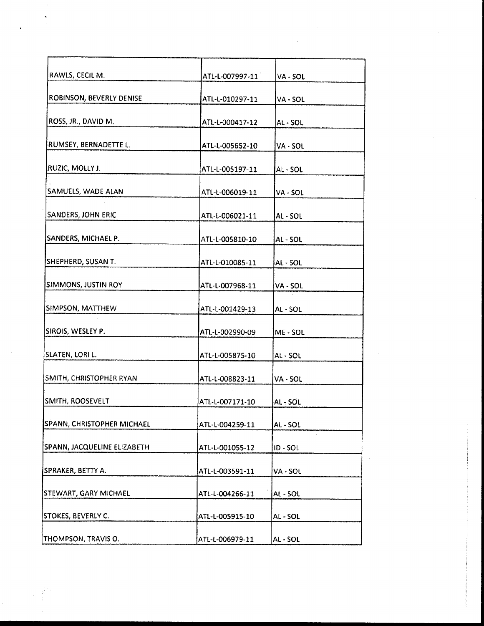| RAWLS, CECIL M.             | ATL-L-007997-11 | VA - SOL   |
|-----------------------------|-----------------|------------|
| ROBINSON, BEVERLY DENISE    | ATL-L-010297-11 | VA - SOL   |
| ROSS, JR., DAVID M.         | ATL-L-000417-12 | AL - SOL   |
| RUMSEY, BERNADETTE L.       | ATL-L-005652-10 | VA - SOL   |
| RUZIC, MOLLY J.             | ATL-L-005197-11 | AL-SOL     |
| SAMUELS, WADE ALAN          | ATL-L-006019-11 | VA - SOL   |
| <b>SANDERS, JOHN ERIC</b>   | ATL-L-006021-11 | AL - SOL   |
| SANDERS, MICHAEL P.         | ATL-L-005810-10 | AL - SOL   |
| SHEPHERD, SUSAN T.          | ATL-L-010085-11 | AL - SOL   |
| SIMMONS, JUSTIN ROY         | ATL-L-007968-11 | VA - SOL   |
| SIMPSON, MATTHEW            | ATL-L-001429-13 | AL - SOL   |
| SIROIS, WESLEY P.           | ATL-L-002990-09 | ME-SOL     |
| SLATEN, LORI L.             | ATL-L-005875-10 | AL - SOL   |
| SMITH, CHRISTOPHER RYAN     | ATL-L-008823-11 | VA - SOL   |
| SMITH, ROOSEVELT            | ATL-L-007171-10 | $AL$ - SOL |
| SPANN, CHRISTOPHER MICHAEL  | ATL-L-004259-11 | AL - SOL   |
| SPANN, JACQUELINE ELIZABETH | ATL-L-001055-12 | $ID - SOL$ |
| SPRAKER, BETTY A.           | ATL-L-003591-11 | VA - SOL   |
| STEWART, GARY MICHAEL       | ATL-L-004266-11 | AL - SOL   |
| STOKES, BEVERLY C.          | ATL-L-005915-10 | AL-SOL     |
| THOMPSON, TRAVIS O.         | ATL-L-006979-11 | AL - SOL   |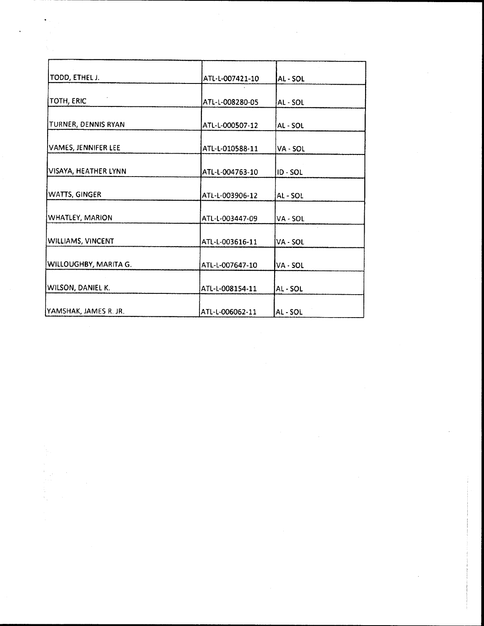| TODD, ETHEL J.        | ATL-L-007421-10 | AL - SOL      |
|-----------------------|-----------------|---------------|
| TOTH, ERIC            | ATL-L-008280-05 | AL-SOL        |
| TURNER, DENNIS RYAN   | ATL-L-000507-12 | AL - SOL      |
| VAMES, JENNIFER LEE   | ATL-L-010588-11 | VA - SOL      |
| VISAYA, HEATHER LYNN  | ATL-L-004763-10 | <b>ID-SOL</b> |
| WATTS, GINGER         | ATL-L-003906-12 | AL-SOL        |
| WHATLEY, MARION       | ATL-L-003447-09 | VA - SOL      |
| WILLIAMS, VINCENT     | ATL-L-003616-11 | VA - SOL      |
| WILLOUGHBY, MARITA G. | ATL-L-007647-10 | VA - SOL      |
| WILSON, DANIEL K.     | ATL-L-008154-11 | AL-SOL        |
| YAMSHAK, JAMES R. JR. | ATL-L-006062-11 | AL - SOL      |

 $\ddot{\phantom{0}}$ 

 $\label{eq:2.1} \frac{1}{\sqrt{2}}\sum_{i=1}^n\frac{1}{\sqrt{2}}\sum_{i=1}^n\frac{1}{\sqrt{2}}\sum_{i=1}^n\frac{1}{\sqrt{2}}\sum_{i=1}^n\frac{1}{\sqrt{2}}\sum_{i=1}^n\frac{1}{\sqrt{2}}\sum_{i=1}^n\frac{1}{\sqrt{2}}\sum_{i=1}^n\frac{1}{\sqrt{2}}\sum_{i=1}^n\frac{1}{\sqrt{2}}\sum_{i=1}^n\frac{1}{\sqrt{2}}\sum_{i=1}^n\frac{1}{\sqrt{2}}\sum_{i=1}^n\frac$ 

 $\hat{\boldsymbol{\gamma}}$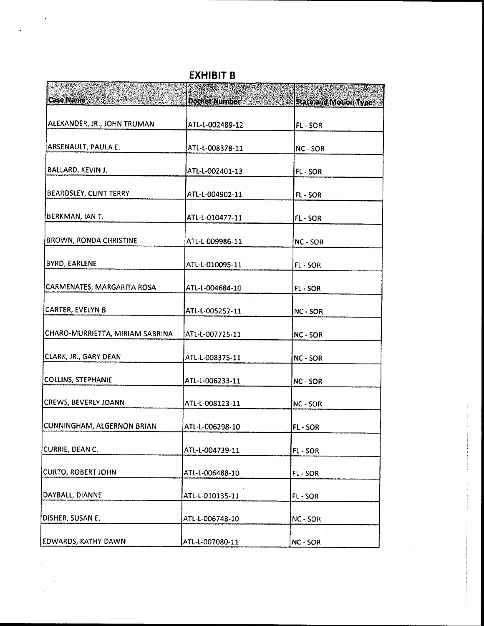| <b>Case Name</b>                |                      | <b>PANTAS AL PARA PROPINS</b> |
|---------------------------------|----------------------|-------------------------------|
|                                 | <b>Docket Number</b> | <b>State and Motion Type</b>  |
| ALEXANDER, JR., JOHN TRUMAN     | ATL-L-002489-12      | FL-SOR                        |
| ARSENAULT, PAULA E.             | ATL-L-008378-11      | NC - SOR                      |
| BALLARD, KEVIN J.               | ATL-L-002401-13      | FL-SOR                        |
| BEARDSLEY, CLINT TERRY          | ATL-L-004902-11      | FL - SOR                      |
| BERKMAN, IAN T.                 | ATL-L-010477-11      | FL-SOR                        |
| <b>BROWN, RONDA CHRISTINE</b>   | ATL-L-009986-11      | NC - SOR                      |
| <b>BYRD, EARLENE</b>            | ATL-L-010095-11      | FL-SOR                        |
| CARMENATES, MARGARITA ROSA      | ATL-L-004684-10      | <b>FL-SOR</b>                 |
| CARTER, EVELYN B                | ATL-L-005257-11      | NC - SOR                      |
| CHARO-MURRIETTA, MIRIAM SABRINA | ATL-L-007725-11      | NC - SOR                      |
| CLARK, JR., GARY DEAN           | ATL-L-008375-11      | NC - SOR                      |
| COLLINS, STEPHANIE              | ATL-L-006233-11      | NC - SOR                      |
| CREWS, BEVERLY JOANN            | ATL-L-008123-11      | NC - SOR                      |
| CUNNINGHAM, ALGERNON BRIAN      | ATL-L-006298-10      | FL-SOR                        |
| CURRIE, DEAN C.                 | ATL-L-004739-11      | FL-SOR                        |
| CURTO, ROBERT JOHN              | ATL-L-006488-10      | FL-SOR                        |
| DAYBALL, DIANNE                 | ATL-L-010135-11      | FL-SOR                        |
| DISHER, SUSAN E.                | ATL-L-006748-10      | NC - SOR                      |
| EDWARDS, KATHY DAWN             | ATL-L-007080-11      | <b>NC - SOR</b>               |

**EXHIBIT B**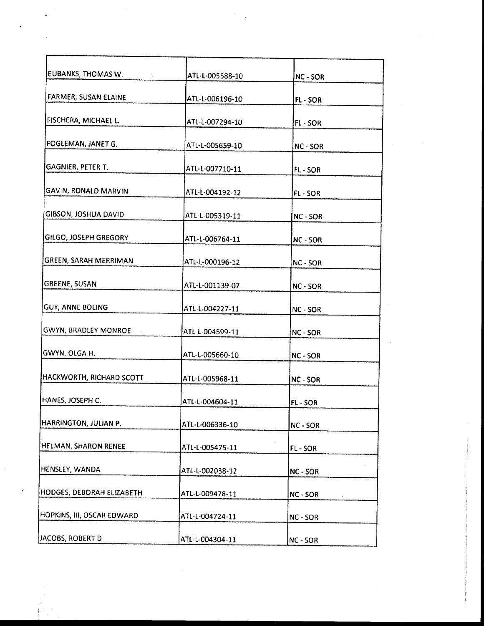| EUBANKS, THOMAS W.              | ATL-L-005588-10 | NC - SOR |
|---------------------------------|-----------------|----------|
| FARMER, SUSAN ELAINE            | ATL-L-006196-10 | FL - SOR |
| FISCHERA, MICHAEL L.            | ATL-L-007294-10 | FL-SOR   |
| FOGLEMAN, JANET G.              | ATL-L-005659-10 | NC - SOR |
| GAGNIER, PETER T.               | ATL-L-007710-11 | FL-SOR   |
| <b>GAVIN, RONALD MARVIN</b>     | ATL-L-004192-12 | FL-SOR   |
| <b>GIBSON, JOSHUA DAVID</b>     | ATL-L-005319-11 | NC - SOR |
| GILGO, JOSEPH GREGORY           | ATL-L-006764-11 | NC - SOR |
| GREEN, SARAH MERRIMAN           | ATL-L-000196-12 | NC - SOR |
| <b>GREENE, SUSAN</b>            | ATL-L-001139-07 | NC - SOR |
| <b>GUY, ANNE BOLING</b>         | ATL-L-004227-11 | NC - SOR |
| GWYN, BRADLEY MONROE            | ATL-L-004599-11 | NC - SOR |
| GWYN, OLGA H.                   | ATL-L-005660-10 | NC - SOR |
| <b>HACKWORTH, RICHARD SCOTT</b> | ATL-L-005968-11 | NC - SOR |
| HANES, JOSEPH C.                | ATL-L-004604-11 | FL-SOR   |
| HARRINGTON, JULIAN P.           | ATL-L-006336-10 | NC - SOR |
| HELMAN, SHARON RENEE            | ATL-L-005475-11 | FL-SOR   |
| HENSLEY, WANDA                  | ATL-L-002038-12 | NC - SOR |
| HODGES, DEBORAH ELIZABETH       | ATL-L-009478-11 | NC - SOR |
| HOPKINS, III, OSCAR EDWARD      | ATL-L-004724-11 | NC-SOR   |
| JACOBS, ROBERT D                | ATL-L-004304-11 | NC - SOR |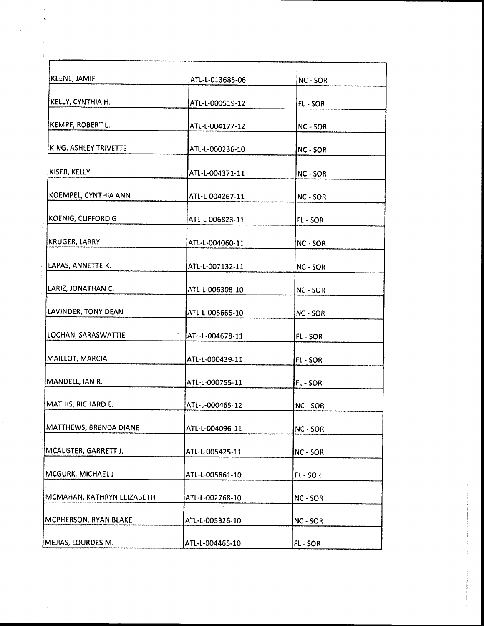| ATL-L-013685-06 | NC - SOR |
|-----------------|----------|
| ATL-L-000519-12 | FL-SOR   |
| ATL-L-004177-12 | NC - SOR |
| ATL-L-000236-10 | NC - SOR |
| ATL-L-004371-11 | NC - SOR |
| ATL-L-004267-11 | NC - SOR |
| ATL-L-006823-11 | FL-SOR   |
| ATL-L-004060-11 | NC - SOR |
| ATL-L-007132-11 | NC - SOR |
| ATL-L-006308-10 | NC - SOR |
| ATL-L-005666-10 | NC - SOR |
| ATL-L-004678-11 | FL-SOR   |
| ATL-L-000439-11 | FL SOR   |
| ATL-L-000755-11 | FL-SOR   |
| ATL-L-000465-12 | NC - SOR |
| ATL-L-004096-11 | NC - SOR |
| ATL-L-005425-11 | NC - SOR |
| ATL-L-005861-10 | FL-SOR   |
| ATL-L-002768-10 | NC - SOR |
| ATL-L-005326-10 | NC - SOR |
|                 |          |

 $\hat{\mathbf{v}}$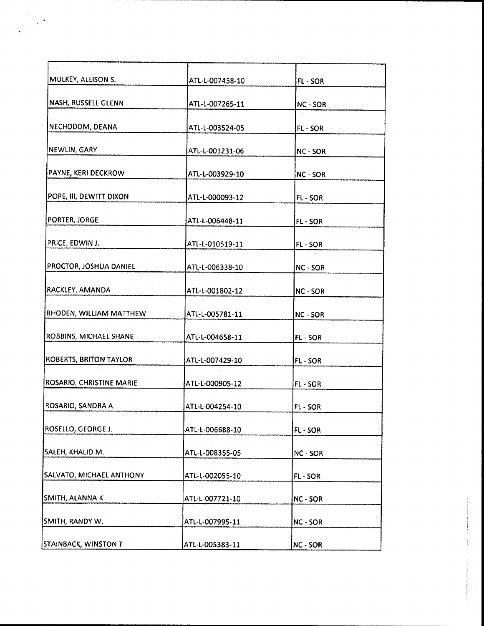| MULKEY, ALLISON S.       | ATL-L-007458-10 | FL-SOR   |
|--------------------------|-----------------|----------|
| NASH, RUSSELL GLENN      | ATL-L-007265-11 | NC - SOR |
| NECHODOM, DEANA          | ATL-L-003524-05 | FL-SOR   |
| NEWLIN, GARY             | ATL-L-001231-06 | NC - SOR |
| PAYNE, KERI DECKROW      | ATL-L-003929-10 | NC - SOR |
| POPE, III, DEWITT DIXON  | ATL-L-000093-12 | FL-SOR   |
| PORTER, JORGE            | ATL-L-006448-11 | FL-SOR   |
| PRICE, EDWIN J.          | ATL-L-010519-11 | FL-SOR   |
| PROCTOR, JOSHUA DANIEL   | ATL-L-006338-10 | NC - SOR |
| RACKLEY, AMANDA          | ATL-L-001802-12 | NC - SOR |
| RHODEN, WILLIAM MATTHEW  | ATL-L-005781-11 | NC - SOR |
| ROBBINS, MICHAEL SHANE   | ATL-L-004658-11 | FL-SOR   |
| ROBERTS, BRITON TAYLOR   | ATL-L-007429-10 | FL - SOR |
| ROSARIO, CHRISTINE MARIE | ATL-L-000905-12 | FL-SOR   |
| ROSARIO, SANDRA A.       | ATL-L-004254-10 | FL-SOR   |
| ROSELLO, GEORGE J.       | ATL-L-006688-10 | FL-SOR   |
| SALEH, KHALID M.         | ATL-L-008355-05 | NC - SOR |
| SALVATO, MICHAEL ANTHONY | ATL-L-002055-10 | FL-SOR   |
| SMITH, ALANNA K          | ATL-L-007721-10 | NC - SOR |
| SMITH, RANDY W.          | ATL-L-007995-11 | NC - SOR |
| STAINBACK, WINSTON T     | ATL-L-005383-11 | NC - SOR |